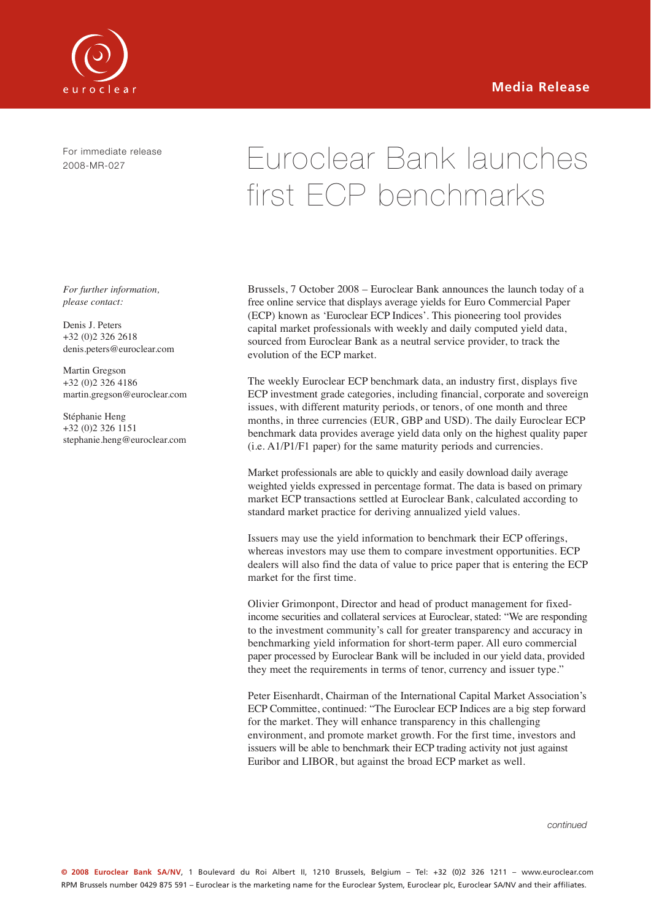

For immediate release 2008-MR-027

# Euroclear Bank launches first ECP benchmarks

*For further information, please contact:*

Denis J. Peters +32 (0)2 326 2618 denis.peters@euroclear.com

Martin Gregson +32 (0)2 326 4186 martin.gregson@euroclear.com

Stéphanie Heng +32 (0)2 326 1151 stephanie.heng@euroclear.com Brussels, 7 October 2008 – Euroclear Bank announces the launch today of a free online service that displays average yields for Euro Commercial Paper (ECP) known as 'Euroclear ECP Indices'. This pioneering tool provides capital market professionals with weekly and daily computed yield data, sourced from Euroclear Bank as a neutral service provider, to track the evolution of the ECP market.

The weekly Euroclear ECP benchmark data, an industry first, displays five ECP investment grade categories, including financial, corporate and sovereign issues, with different maturity periods, or tenors, of one month and three months, in three currencies (EUR, GBP and USD). The daily Euroclear ECP benchmark data provides average yield data only on the highest quality paper (i.e. A1/P1/F1 paper) for the same maturity periods and currencies.

Market professionals are able to quickly and easily download daily average weighted yields expressed in percentage format. The data is based on primary market ECP transactions settled at Euroclear Bank, calculated according to standard market practice for deriving annualized yield values.

Issuers may use the yield information to benchmark their ECP offerings, whereas investors may use them to compare investment opportunities. ECP dealers will also find the data of value to price paper that is entering the ECP market for the first time.

Olivier Grimonpont, Director and head of product management for fixedincome securities and collateral services at Euroclear, stated: "We are responding to the investment community's call for greater transparency and accuracy in benchmarking yield information for short-term paper. All euro commercial paper processed by Euroclear Bank will be included in our yield data, provided they meet the requirements in terms of tenor, currency and issuer type."

Peter Eisenhardt, Chairman of the International Capital Market Association's ECP Committee, continued: "The Euroclear ECP Indices are a big step forward for the market. They will enhance transparency in this challenging environment, and promote market growth. For the first time, investors and issuers will be able to benchmark their ECP trading activity not just against Euribor and LIBOR, but against the broad ECP market as well.

*continued*